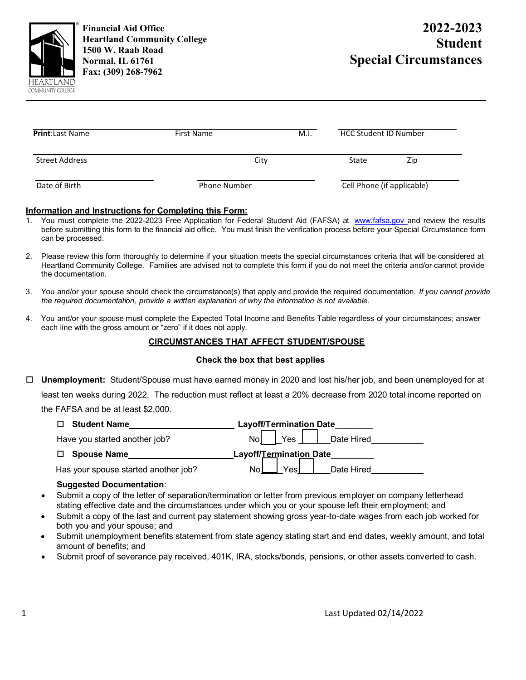

**Financial Aid Office Heartland Community College 1500 W. Raab Road Normal, IL 61761 Fax: (309) 268-7962** 

# **2022-2023 Student Special Circumstances**

| <b>Print:</b> Last Name | First Name          | M.I. | <b>HCC Student ID Number</b> |                            |  |
|-------------------------|---------------------|------|------------------------------|----------------------------|--|
| Street Address          | City                |      | State                        | Zip                        |  |
| Date of Birth           | <b>Phone Number</b> |      |                              | Cell Phone (if applicable) |  |

# **Information and Instructions for Completing this Form:**

- 1. You must complete the 2022-2023 Free Application for Federal Student Aid (FAFSA) at [www.fafsa.gov a](http://www.fafsa.gov/)nd review the results before submitting this form to the financial aid office. You must finish the verification process before your Special Circumstance form can be processed.
- 2. Please review this form thoroughly to determine if your situation meets the special circumstances criteria that will be considered at Heartland Community College. Families are advised not to complete this form if you do not meet the criteria and/or cannot provide the documentation.
- 3. You and/or your spouse should check the circumstance(s) that apply and provide the required documentation. *If you cannot provide the required documentation, provide a written explanation of why the information is not available.*
- 4. You and/or your spouse must complete the Expected Total Income and Benefits Table regardless of your circumstances; answer each line with the gross amount or "zero" if it does not apply.

# **CIRCUMSTANCES THAT AFFECT STUDENT/SPOUSE**

#### **Check the box that best applies**

 **Unemployment:** Student/Spouse must have earned money in 2020 and lost his/her job, and been unemployed for at least ten weeks during 2022. The reduction must reflect at least a 20% decrease from 2020 total income reported on the FAFSA and be at least \$2,000.

| <b>Student Name</b>                  | <b>Layoff/Termination Date</b> |
|--------------------------------------|--------------------------------|
| Have you started another job?        | <b>No</b><br>Date Hired<br>Yes |
| <b>Spouse Name</b><br>П.             | Layoff/Termination Date        |
| Has your spouse started another job? | Nol<br>Yesl<br>Date Hired      |

#### **Suggested Documentation**:

- Submit a copy of the letter of separation/termination or letter from previous employer on company letterhead stating effective date and the circumstances under which you or your spouse left their employment; and
- Submit a copy of the last and current pay statement showing gross year-to-date wages from each job worked for both you and your spouse; and
- Submit unemployment benefits statement from state agency stating start and end dates, weekly amount, and total amount of benefits; and
- Submit proof of severance pay received, 401K, IRA, stocks/bonds, pensions, or other assets converted to cash.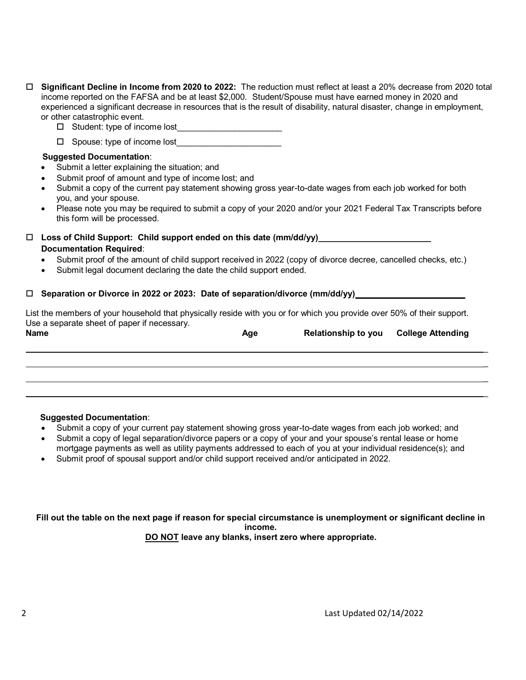- **Significant Decline in Income from 2020 to 2022:** The reduction must reflect at least a 20% decrease from 2020 total income reported on the FAFSA and be at least \$2,000. Student/Spouse must have earned money in 2020 and experienced a significant decrease in resources that is the result of disability, natural disaster, change in employment, or other catastrophic event.
	- $\Box$  Student: type of income lost
	- $\Box$  Spouse: type of income lost

#### **Suggested Documentation**:

- Submit a letter explaining the situation; and
- Submit proof of amount and type of income lost; and
- Submit a copy of the current pay statement showing gross year-to-date wages from each job worked for both you, and your spouse.
- Please note you may be required to submit a copy of your 2020 and/or your 2021 Federal Tax Transcripts before this form will be processed.

# $\Box$  Loss of Child Support: Child support ended on this date (mm/dd/yy) **Documentation Required**:

- Submit proof of the amount of child support received in 2022 (copy of divorce decree, cancelled checks, etc.)
- Submit legal document declaring the date the child support ended.

### □ Separation or Divorce in 2022 or 2023: Date of separation/divorce (mm/dd/yy)

List the members of your household that physically reside with you or for which you provide over 50% of their support. Use a separate sheet of paper if necessary.

| <b>Name</b> | Age | <b>Relationship to you College Attending</b> |  |  |  |
|-------------|-----|----------------------------------------------|--|--|--|
|             |     |                                              |  |  |  |
|             |     |                                              |  |  |  |
|             |     |                                              |  |  |  |

#### **Suggested Documentation**:

- Submit a copy of your current pay statement showing gross year-to-date wages from each job worked; and
- Submit a copy of legal separation/divorce papers or a copy of your and your spouse's rental lease or home
- mortgage payments as well as utility payments addressed to each of you at your individual residence(s); and
- Submit proof of spousal support and/or child support received and/or anticipated in 2022.

**Fill out the table on the next page if reason for special circumstance is unemployment or significant decline in income. DO NOT leave any blanks, insert zero where appropriate.**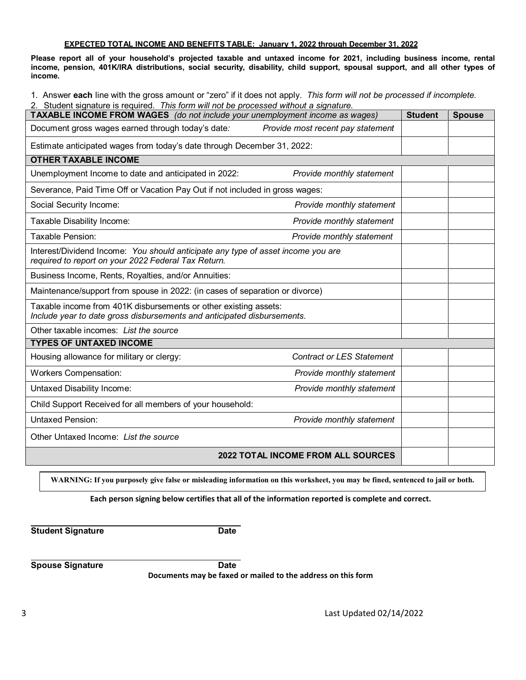#### **EXPECTED TOTAL INCOME AND BENEFITS TABLE: January 1, 2022 through December 31, 2022**

**Please report all of your household's projected taxable and untaxed income for 2021, including business income, rental income, pension, 401K/IRA distributions, social security, disability, child support, spousal support, and all other types of income.**

1. Answer **each** line with the gross amount or "zero" if it does not apply. *This form will not be processed if incomplete.*

| 2. Student signature is required. This form will not be processed without a signature.<br>TAXABLE INCOME FROM WAGES (do not include your unemployment income as wages) |                                    | <b>Student</b> | <b>Spouse</b> |
|------------------------------------------------------------------------------------------------------------------------------------------------------------------------|------------------------------------|----------------|---------------|
| Document gross wages earned through today's date:                                                                                                                      | Provide most recent pay statement  |                |               |
| Estimate anticipated wages from today's date through December 31, 2022:                                                                                                |                                    |                |               |
| <b>OTHER TAXABLE INCOME</b>                                                                                                                                            |                                    |                |               |
| Unemployment Income to date and anticipated in 2022:                                                                                                                   | Provide monthly statement          |                |               |
| Severance, Paid Time Off or Vacation Pay Out if not included in gross wages:                                                                                           |                                    |                |               |
| Social Security Income:<br>Provide monthly statement                                                                                                                   |                                    |                |               |
| Taxable Disability Income:<br>Provide monthly statement                                                                                                                |                                    |                |               |
| Taxable Pension:                                                                                                                                                       | Provide monthly statement          |                |               |
| Interest/Dividend Income: You should anticipate any type of asset income you are<br>required to report on your 2022 Federal Tax Return.                                |                                    |                |               |
| Business Income, Rents, Royalties, and/or Annuities:                                                                                                                   |                                    |                |               |
| Maintenance/support from spouse in 2022: (in cases of separation or divorce)                                                                                           |                                    |                |               |
| Taxable income from 401K disbursements or other existing assets:<br>Include year to date gross disbursements and anticipated disbursements.                            |                                    |                |               |
| Other taxable incomes: List the source                                                                                                                                 |                                    |                |               |
| <b>TYPES OF UNTAXED INCOME</b>                                                                                                                                         |                                    |                |               |
| Housing allowance for military or clergy:                                                                                                                              | <b>Contract or LES Statement</b>   |                |               |
| <b>Workers Compensation:</b>                                                                                                                                           | Provide monthly statement          |                |               |
| <b>Untaxed Disability Income:</b>                                                                                                                                      | Provide monthly statement          |                |               |
| Child Support Received for all members of your household:                                                                                                              |                                    |                |               |
| <b>Untaxed Pension:</b>                                                                                                                                                | Provide monthly statement          |                |               |
| Other Untaxed Income: List the source                                                                                                                                  |                                    |                |               |
|                                                                                                                                                                        | 2022 TOTAL INCOME FROM ALL SOURCES |                |               |

**WARNING: If you purposely give false or misleading information on this worksheet, you may be fined, sentenced to jail or both.**

**Each person signing below certifies that all of the information reported is complete and correct.**

**Student Signature Date** 

**Spouse Signature Date** 

**Documents may be faxed or mailed to the address on this form**